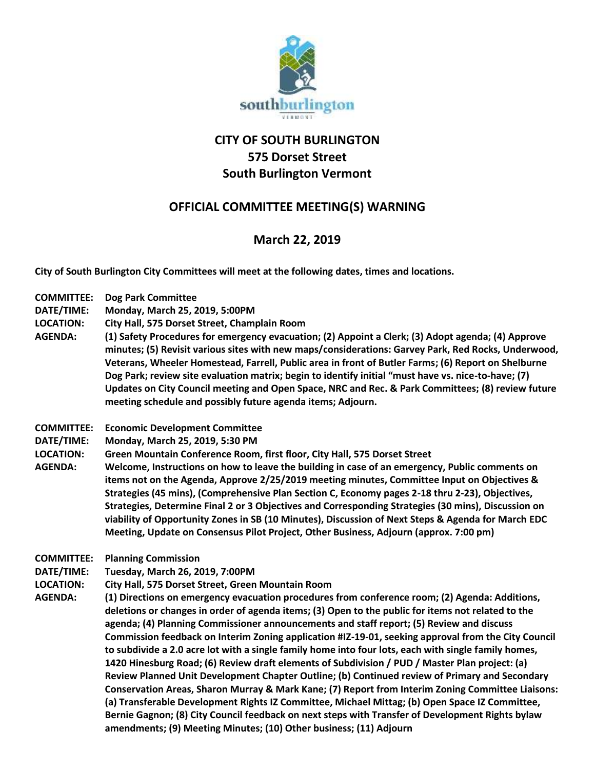

## **CITY OF SOUTH BURLINGTON 575 Dorset Street South Burlington Vermont**

## **OFFICIAL COMMITTEE MEETING(S) WARNING**

## **March 22, 2019**

**City of South Burlington City Committees will meet at the following dates, times and locations.** 

**COMMITTEE: Dog Park Committee**

**DATE/TIME: Monday, March 25, 2019, 5:00PM LOCATION: City Hall, 575 Dorset Street, Champlain Room AGENDA: (1) Safety Procedures for emergency evacuation; (2) Appoint a Clerk; (3) Adopt agenda; (4) Approve minutes; (5) Revisit various sites with new maps/considerations: Garvey Park, Red Rocks, Underwood, Veterans, Wheeler Homestead, Farrell, Public area in front of Butler Farms; (6) Report on Shelburne Dog Park; review site evaluation matrix; begin to identify initial "must have vs. nice-to-have; (7) Updates on City Council meeting and Open Space, NRC and Rec. & Park Committees; (8) review future meeting schedule and possibly future agenda items; Adjourn. COMMITTEE: Economic Development Committee DATE/TIME: Monday, March 25, 2019, 5:30 PM LOCATION: Green Mountain Conference Room, first floor, City Hall, 575 Dorset Street AGENDA: Welcome, Instructions on how to leave the building in case of an emergency, Public comments on items not on the Agenda, Approve 2/25/2019 meeting minutes, Committee Input on Objectives & Strategies (45 mins), (Comprehensive Plan Section C, Economy pages 2-18 thru 2-23), Objectives, Strategies, Determine Final 2 or 3 Objectives and Corresponding Strategies (30 mins), Discussion on viability of Opportunity Zones in SB (10 Minutes), Discussion of Next Steps & Agenda for March EDC Meeting, Update on Consensus Pilot Project, Other Business, Adjourn (approx. 7:00 pm) COMMITTEE: Planning Commission DATE/TIME: Tuesday, March 26, 2019, 7:00PM LOCATION: City Hall, 575 Dorset Street, Green Mountain Room AGENDA: (1) Directions on emergency evacuation procedures from conference room; (2) Agenda: Additions, deletions or changes in order of agenda items; (3) Open to the public for items not related to the agenda; (4) Planning Commissioner announcements and staff report; (5) Review and discuss Commission feedback on Interim Zoning application #IZ-19-01, seeking approval from the City Council to subdivide a 2.0 acre lot with a single family home into four lots, each with single family homes, 1420 Hinesburg Road; (6) Review draft elements of Subdivision / PUD / Master Plan project: (a) Review Planned Unit Development Chapter Outline; (b) Continued review of Primary and Secondary Conservation Areas, Sharon Murray & Mark Kane; (7) Report from Interim Zoning Committee Liaisons: (a) Transferable Development Rights IZ Committee, Michael Mittag; (b) Open Space IZ Committee, Bernie Gagnon; (8) City Council feedback on next steps with Transfer of Development Rights bylaw amendments; (9) Meeting Minutes; (10) Other business; (11) Adjourn**